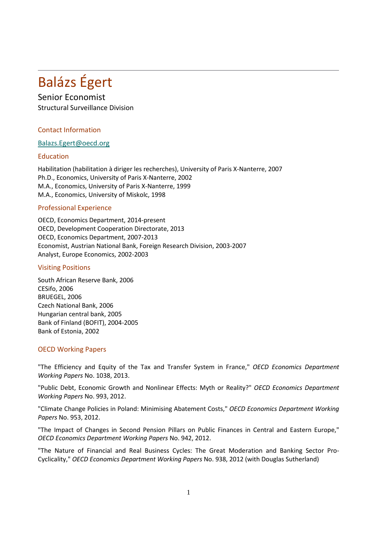# Balázs Égert

## Senior Economist

Structural Surveillance Division

### Contact Information

#### [Balazs.Egert@oecd.org](mailto:Balazs.Egert@oecd.org)

#### Education

Habilitation (habilitation à diriger les recherches), University of Paris X-Nanterre, 2007 Ph.D., Economics, University of Paris X-Nanterre, 2002 M.A., Economics, University of Paris X-Nanterre, 1999 M.A., Economics, University of Miskolc, 1998

#### Professional Experience

OECD, Economics Department, 2014-present OECD, Development Cooperation Directorate, 2013 OECD, Economics Department, 2007-2013 Economist, Austrian National Bank, Foreign Research Division, 2003-2007 Analyst, Europe Economics, 2002-2003

#### Visiting Positions

South African Reserve Bank, 2006 CESifo, 2006 BRUEGEL, 2006 Czech National Bank, 2006 Hungarian central bank, 2005 Bank of Finland (BOFIT), 2004-2005 Bank of Estonia, 2002

#### OECD Working Papers

"The Efficiency and Equity of the Tax and Transfer System in France," *OECD Economics Department Working Papers* No. 1038, 2013.

"Public Debt, Economic Growth and Nonlinear Effects: Myth or Reality?" *OECD Economics Department Working Papers* No. 993, 2012.

"Climate Change Policies in Poland: Minimising Abatement Costs," *OECD Economics Department Working Papers* No. 953, 2012.

"The Impact of Changes in Second Pension Pillars on Public Finances in Central and Eastern Europe," *OECD Economics Department Working Papers* No. 942, 2012.

"The Nature of Financial and Real Business Cycles: The Great Moderation and Banking Sector Pro-Cyclicality," *OECD Economics Department Working Papers* No. 938, 2012 (with Douglas Sutherland)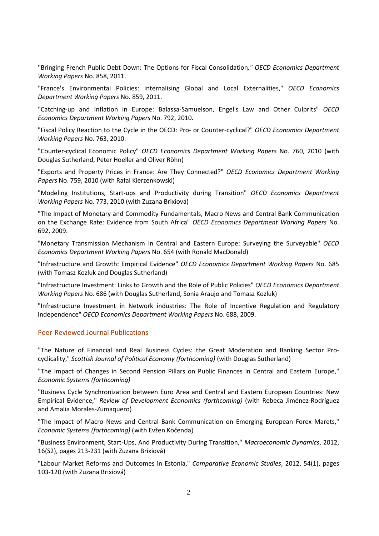"Bringing French Public Debt Down: The Options for Fiscal Consolidation*," OECD Economics Department Working Papers* No. 858, 2011.

"France's Environmental Policies: Internalising Global and Local Externalities," *OECD Economics Department Working Papers* No. 859, 2011.

"Catching-up and Inflation in Europe: Balassa-Samuelson, Engel's Law and Other Culprits" *OECD Economics Department Working Papers* No. 792, 2010.

"Fiscal Policy Reaction to the Cycle in the OECD: Pro- or Counter-cyclical?" *OECD Economics Department Working Papers* No. 763, 2010.

"Counter-cyclical Economic Policy" *OECD Economics Department Working Papers* No. 760, 2010 (with Douglas Sutherland, Peter Hoeller and Oliver Röhn)

"Exports and Property Prices in France: Are They Connected?" *OECD Economics Department Working Papers* No. 759, 2010 (with Rafal Kierzenkowski)

"Modeling Institutions, Start-ups and Productivity during Transition" *OECD Economics Department Working Papers* No. 773, 2010 (with Zuzana Brixiová)

"The Impact of Monetary and Commodity Fundamentals, Macro News and Central Bank Communication on the Exchange Rate: Evidence from South Africa" *OECD Economics Department Working Papers* No. 692, 2009.

"Monetary Transmission Mechanism in Central and Eastern Europe: Surveying the Surveyable" *OECD Economics Department Working Papers* No. 654 (with Ronald MacDonald)

"Infrastructure and Growth: Empirical Evidence" *OECD Economics Department Working Papers* No. 685 (with Tomasz Kozluk and Douglas Sutherland)

"Infrastructure Investment: Links to Growth and the Role of Public Policies" *OECD Economics Department Working Papers* No. 686 (with Douglas Sutherland, Sonia Araujo and Tomasz Kozluk)

"Infrastructure Investment in Network industries: The Role of Incentive Regulation and Regulatory Independence" *OECD Economics Department Working Papers* No. 688, 2009.

#### Peer-Reviewed Journal Publications

"The Nature of Financial and Real Business Cycles: the Great Moderation and Banking Sector Procyclicality," *Scottish Journal of Political Economy (forthcoming)* (with Douglas Sutherland)

"The Impact of Changes in Second Pension Pillars on Public Finances in Central and Eastern Europe," *Economic Systems (forthcoming)*

"Business Cycle Synchronization between Euro Area and Central and Eastern European Countries: New Empirical Evidence," *Review of Development Economics (forthcoming)* (with Rebeca Jiménez-Rodríguez and Amalia Morales-Zumaquero)

"The Impact of Macro News and Central Bank Communication on Emerging European Forex Marets," *Economic Systems (forthcoming)* (with Evžen Kočenda)

"Business Environment, Start-Ups, And Productivity During Transition," *Macroeconomic Dynamics*, 2012, 16(S2), pages 213-231 (with Zuzana Brixiová)

"Labour Market Reforms and Outcomes in Estonia," *Comparative Economic Studies*, 2012, 54(1), pages 103-120 (with Zuzana Brixiová)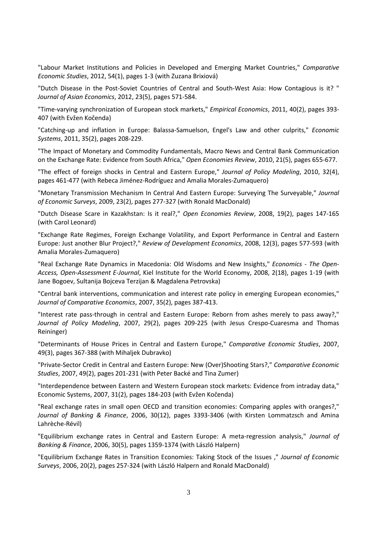"Labour Market Institutions and Policies in Developed and Emerging Market Countries," *Comparative Economic Studies*, 2012, 54(1), pages 1-3 (with Zuzana Brixiová)

"Dutch Disease in the Post-Soviet Countries of Central and South-West Asia: How Contagious is it? " *Journal of Asian Economics*, 2012, 23(5), pages 571-584.

"Time-varying synchronization of European stock markets," *Empirical Economics*, 2011, 40(2), pages 393- 407 (with Evžen Kočenda)

"Catching-up and inflation in Europe: Balassa-Samuelson, Engel's Law and other culprits," *Economic Systems*, 2011, 35(2), pages 208-229.

"The Impact of Monetary and Commodity Fundamentals, Macro News and Central Bank Communication on the Exchange Rate: Evidence from South Africa," *Open Economies Review*, 2010, 21(5), pages 655-677.

"The effect of foreign shocks in Central and Eastern Europe," *Journal of Policy Modeling*, 2010, 32(4), pages 461-477 (with Rebeca Jiménez-Rodríguez and Amalia Morales-Zumaquero)

"Monetary Transmission Mechanism In Central And Eastern Europe: Surveying The Surveyable," *Journal of Economic Surveys*, 2009, 23(2), pages 277-327 (with Ronald MacDonald)

"Dutch Disease Scare in Kazakhstan: Is it real?," *Open Economies Review*, 2008, 19(2), pages 147-165 (with Carol Leonard)

"Exchange Rate Regimes, Foreign Exchange Volatility, and Export Performance in Central and Eastern Europe: Just another Blur Project?," *Review of Development Economics*, 2008, 12(3), pages 577-593 (with Amalia Morales-Zumaquero)

"Real Exchange Rate Dynamics in Macedonia: Old Wisdoms and New Insights," *Economics - The Open-Access, Open-Assessment E-Journal*, Kiel Institute for the World Economy, 2008, 2(18), pages 1-19 (with Jane Bogoev, Sultanija Bojceva Terzijan & Magdalena Petrovska)

"Central bank interventions, communication and interest rate policy in emerging European economies," *Journal of Comparative Economics*, 2007, 35(2), pages 387-413.

"Interest rate pass-through in central and Eastern Europe: Reborn from ashes merely to pass away?," *Journal of Policy Modeling*, 2007, 29(2), pages 209-225 (with Jesus Crespo-Cuaresma and Thomas Reininger)

"Determinants of House Prices in Central and Eastern Europe," *Comparative Economic Studies*, 2007, 49(3), pages 367-388 (with Mihaljek Dubravko)

"Private-Sector Credit in Central and Eastern Europe: New (Over)Shooting Stars?," *Comparative Economic Studies*, 2007, 49(2), pages 201-231 (with Peter Backé and Tina Zumer)

"Interdependence between Eastern and Western European stock markets: Evidence from intraday data," Economic Systems, 2007, 31(2), pages 184-203 (with Evžen Kočenda)

"Real exchange rates in small open OECD and transition economies: Comparing apples with oranges?," *Journal of Banking & Finance*, 2006, 30(12), pages 3393-3406 (with Kirsten Lommatzsch and Amina Lahrèche-Révil)

"Equilibrium exchange rates in Central and Eastern Europe: A meta-regression analysis," *Journal of Banking & Finance*, 2006, 30(5), pages 1359-1374 (with László Halpern)

"Equilibrium Exchange Rates in Transition Economies: Taking Stock of the Issues ," *Journal of Economic Surveys*, 2006, 20(2), pages 257-324 (with László Halpern and Ronald MacDonald)